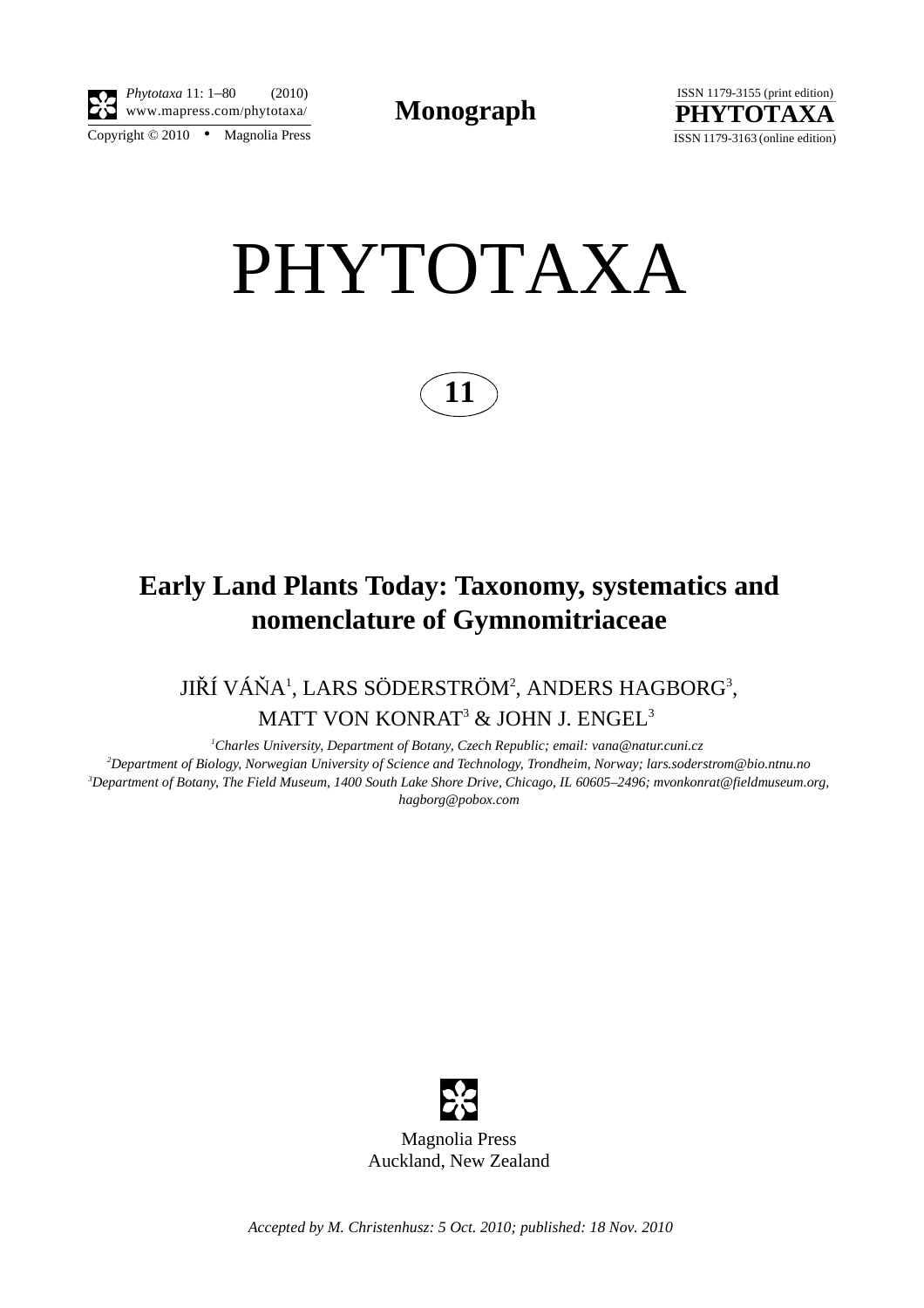



# PHYTOTAXA



## **Early Land Plants Today: Taxonomy, systematics and nomenclature of Gymnomitriaceae**

JIŘÍ VÁŇA<sup>1</sup>, LARS SÖDERSTRÖM<sup>2</sup>, ANDERS HAGBORG<sup>3</sup>, MATT VON KONRAT $^3$  & JOHN J. ENGEL $^3$ 

*1 Charles University, Department of Botany, Czech Republic; email: vana@natur.cuni.cz 2 Department of Biology, Norwegian University of Science and Technology, Trondheim, Norway; lars.soderstrom@bio.ntnu.no 3 Department of Botany, The Field Museum, 1400 South Lake Shore Drive, Chicago, IL 60605–2496; mvonkonrat@fieldmuseum.org, hagborg@pobox.com*



*Accepted by M. Christenhusz: 5 Oct. 2010; published: 18 Nov. 2010*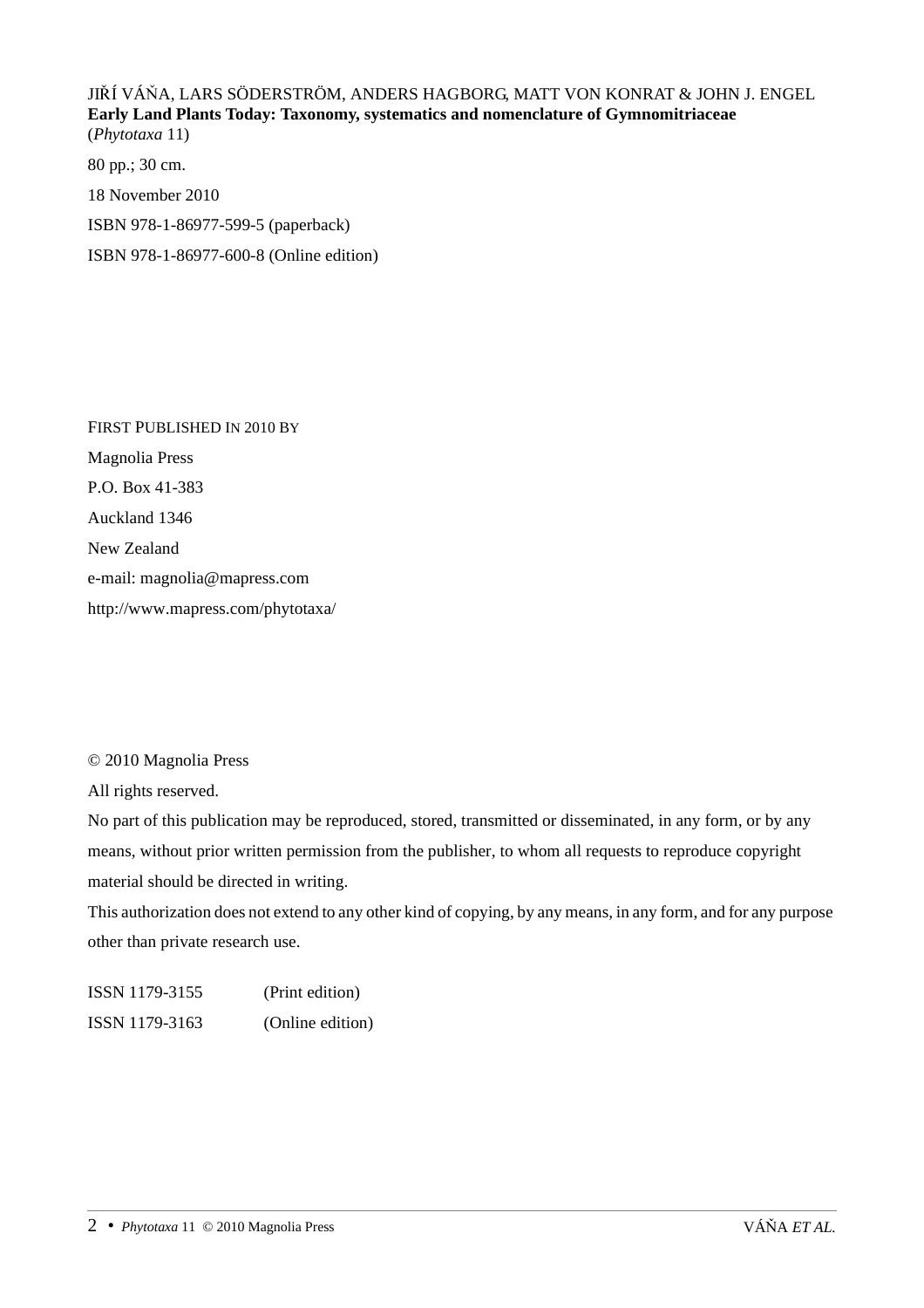JIŘÍ VÁŇA, LARS SÖDERSTRÖM, ANDERS HAGBORG, MATT VON KONRAT & JOHN J. ENGEL **Early Land Plants Today: Taxonomy, systematics and nomenclature of Gymnomitriaceae** (*Phytotaxa* 11)

80 pp.; 30 cm. 18 November 2010 ISBN 978-1-86977-599-5 (paperback) ISBN 978-1-86977-600-8 (Online edition)

FIRST PUBLISHED IN 2010 BY Magnolia Press P.O. Box 41-383 Auckland 1346 New Zealand e-mail: magnolia@mapress.com http://www.mapress.com/phytotaxa/

### © 2010 Magnolia Press

All rights reserved.

No part of this publication may be reproduced, stored, transmitted or disseminated, in any form, or by any means, without prior written permission from the publisher, to whom all requests to reproduce copyright material should be directed in writing.

This authorization does not extend to any other kind of copying, by any means, in any form, and for any purpose other than private research use.

ISSN 1179-3155 (Print edition) ISSN 1179-3163 (Online edition)